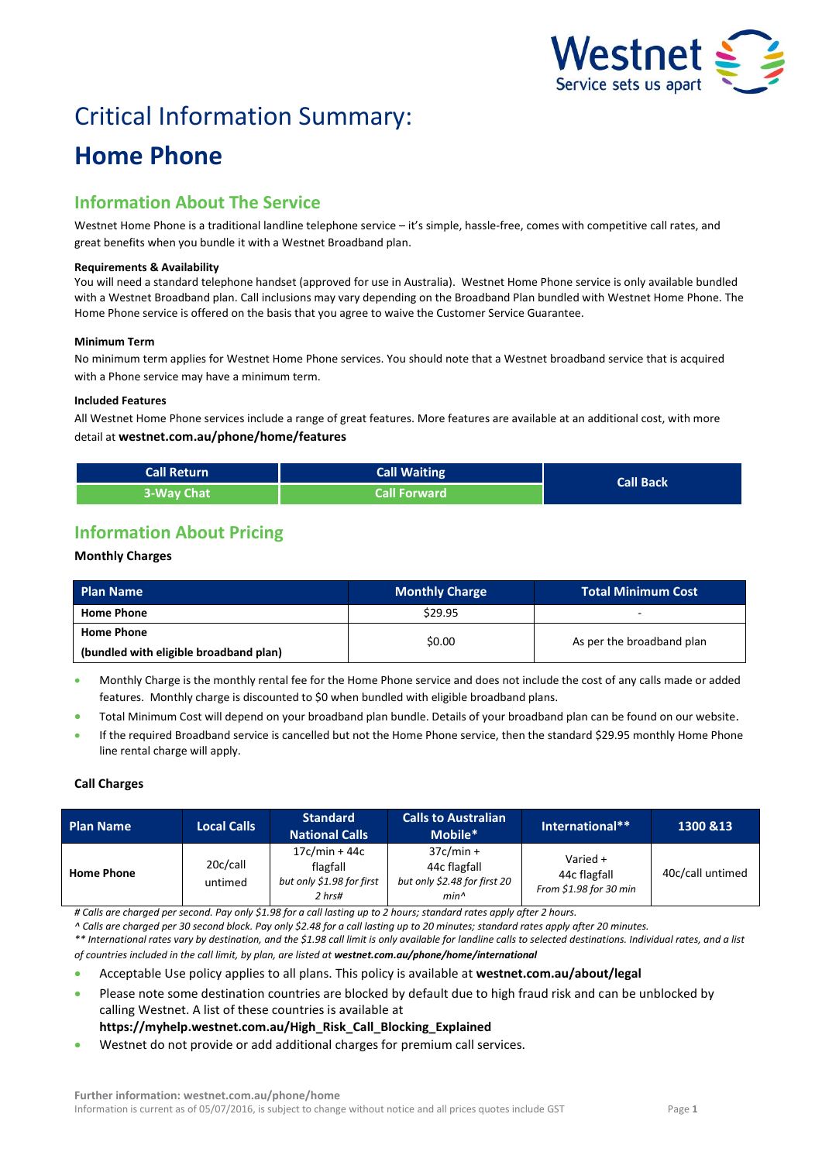

# Critical Information Summary:

## **Home Phone**

## **Information About The Service**

Westnet Home Phone is a traditional landline telephone service – it's simple, hassle-free, comes with competitive call rates, and great benefits when you bundle it with a Westnet Broadband plan.

#### **Requirements & Availability**

You will need a standard telephone handset (approved for use in Australia). Westnet Home Phone service is only available bundled with a Westnet Broadband plan. Call inclusions may vary depending on the Broadband Plan bundled with Westnet Home Phone. The Home Phone service is offered on the basis that you agree to waive the Customer Service Guarantee.

#### **Minimum Term**

No minimum term applies for Westnet Home Phone services. You should note that a Westnet broadband service that is acquired with a Phone service may have a minimum term.

#### **Included Features**

All Westnet Home Phone services include a range of great features. More features are available at an additional cost, with more detail at **westnet.com.au/phone/home/features**

| <b>Call Return</b> | Call Waiting        | <b>Call Back</b> |
|--------------------|---------------------|------------------|
| 3-Way Chat         | <b>Call Forward</b> |                  |

## **Information About Pricing**

#### **Monthly Charges**

| <b>Plan Name</b>                       | <b>Monthly Charge</b> | <b>Total Minimum Cost</b> |  |
|----------------------------------------|-----------------------|---------------------------|--|
| <b>Home Phone</b>                      | \$29.95               |                           |  |
| <b>Home Phone</b>                      |                       | As per the broadband plan |  |
| (bundled with eligible broadband plan) | \$0.00                |                           |  |

 Monthly Charge is the monthly rental fee for the Home Phone service and does not include the cost of any calls made or added features. Monthly charge is discounted to \$0 when bundled with eligible broadband plans.

- Total Minimum Cost will depend on your broadband plan bundle. Details of your broadband plan can be found on our website.
- If the required Broadband service is cancelled but not the Home Phone service, then the standard \$29.95 monthly Home Phone line rental charge will apply.

#### **Call Charges**

| <b>Plan Name</b>  | <b>Local Calls</b>  | <b>Standard</b><br><b>National Calls</b>                           | <b>Calls to Australian</b><br>Mobile*                                 | International**                                    | 1300 & 13        |
|-------------------|---------------------|--------------------------------------------------------------------|-----------------------------------------------------------------------|----------------------------------------------------|------------------|
| <b>Home Phone</b> | 20c/call<br>untimed | $17c/min + 44c$<br>flagfall<br>but only \$1.98 for first<br>2 hrs# | $37c/min +$<br>44c flagfall<br>but only \$2.48 for first 20<br>$min^$ | Varied +<br>44c flagfall<br>From \$1.98 for 30 min | 40c/call untimed |

*# Calls are charged per second. Pay only \$1.98 for a call lasting up to 2 hours; standard rates apply after 2 hours.*

*^ Calls are charged per 30 second block. Pay only \$2.48 for a call lasting up to 20 minutes; standard rates apply after 20 minutes.*

*\*\* International rates vary by destination, and the \$1.98 call limit is only available for landline calls to selected destinations. Individual rates, and a list of countries included in the call limit, by plan, are listed at [westnet.com.au/p](file://win2k.iinet.net.au/dfs/group/Customer%20Experience/WebDev/CORP%20TEAMS/Products/CIS%20Sheets/Word%20Templates/iiNet/www.iinet.net.au/phone/netphone-voip/international)hone/home/international*

- Acceptable Use policy applies to all plans. This policy is available at **westnet.com.au/about/legal**
- Please note some destination countries are blocked by default due to high fraud risk and can be unblocked by calling Westnet. A list of these countries is available at
	- **https://myhelp.westnet.com.au/High\_Risk\_Call\_Blocking\_Explained**
- Westnet do not provide or add additional charges for premium call services.